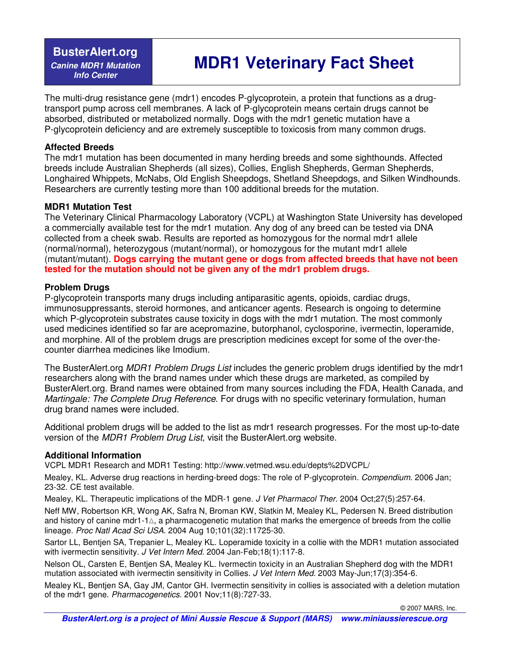**BusterAlert.org Canine MDR1 Mutation Info Center** 

# **MDR1 Veterinary Fact Sheet**

The multi-drug resistance gene (mdr1) encodes P-glycoprotein, a protein that functions as a drugtransport pump across cell membranes. A lack of P-glycoprotein means certain drugs cannot be absorbed, distributed or metabolized normally. Dogs with the mdr1 genetic mutation have a P-glycoprotein deficiency and are extremely susceptible to toxicosis from many common drugs.

#### **Affected Breeds**

The mdr1 mutation has been documented in many herding breeds and some sighthounds. Affected breeds include Australian Shepherds (all sizes), Collies, English Shepherds, German Shepherds, Longhaired Whippets, McNabs, Old English Sheepdogs, Shetland Sheepdogs, and Silken Windhounds. Researchers are currently testing more than 100 additional breeds for the mutation.

### **MDR1 Mutation Test**

The Veterinary Clinical Pharmacology Laboratory (VCPL) at Washington State University has developed a commercially available test for the mdr1 mutation. Any dog of any breed can be tested via DNA collected from a cheek swab. Results are reported as homozygous for the normal mdr1 allele (normal/normal), heterozygous (mutant/normal), or homozygous for the mutant mdr1 allele (mutant/mutant). **Dogs carrying the mutant gene or dogs from affected breeds that have not been tested for the mutation should not be given any of the mdr1 problem drugs.**

### **Problem Drugs**

P-glycoprotein transports many drugs including antiparasitic agents, opioids, cardiac drugs, immunosuppressants, steroid hormones, and anticancer agents. Research is ongoing to determine which P-glycoprotein substrates cause toxicity in dogs with the mdr1 mutation. The most commonly used medicines identified so far are acepromazine, butorphanol, cyclosporine, ivermectin, loperamide, and morphine. All of the problem drugs are prescription medicines except for some of the over-thecounter diarrhea medicines like Imodium.

The BusterAlert.org MDR1 Problem Drugs List includes the generic problem drugs identified by the mdr1 researchers along with the brand names under which these drugs are marketed, as compiled by BusterAlert.org. Brand names were obtained from many sources including the FDA, Health Canada, and Martingale: The Complete Drug Reference. For drugs with no specific veterinary formulation, human drug brand names were included.

Additional problem drugs will be added to the list as mdr1 research progresses. For the most up-to-date version of the MDR1 Problem Drug List, visit the BusterAlert.org website.

# **Additional Information**

VCPL MDR1 Research and MDR1 Testing: http://www.vetmed.wsu.edu/depts%2DVCPL/

Mealey, KL. Adverse drug reactions in herding-breed dogs: The role of P-glycoprotein. Compendium. 2006 Jan; 23-32. CE test available.

Mealey, KL. Therapeutic implications of the MDR-1 gene. J Vet Pharmacol Ther. 2004 Oct;27(5):257-64.

Neff MW, Robertson KR, Wong AK, Safra N, Broman KW, Slatkin M, Mealey KL, Pedersen N. Breed distribution and history of canine mdr1-1∆, a pharmacogenetic mutation that marks the emergence of breeds from the collie lineage. Proc Natl Acad Sci USA. 2004 Aug 10;101(32):11725-30.

Sartor LL, Bentjen SA, Trepanier L, Mealey KL. Loperamide toxicity in a collie with the MDR1 mutation associated with ivermectin sensitivity. J Vet Intern Med. 2004 Jan-Feb;18(1):117-8.

Nelson OL, Carsten E, Bentjen SA, Mealey KL. Ivermectin toxicity in an Australian Shepherd dog with the MDR1 mutation associated with ivermectin sensitivity in Collies. J Vet Intern Med. 2003 May-Jun;17(3):354-6.

Mealey KL, Bentjen SA, Gay JM, Cantor GH. Ivermectin sensitivity in collies is associated with a deletion mutation of the mdr1 gene. Pharmacogenetics. 2001 Nov;11(8):727-33.

© 2007 MARS, Inc.